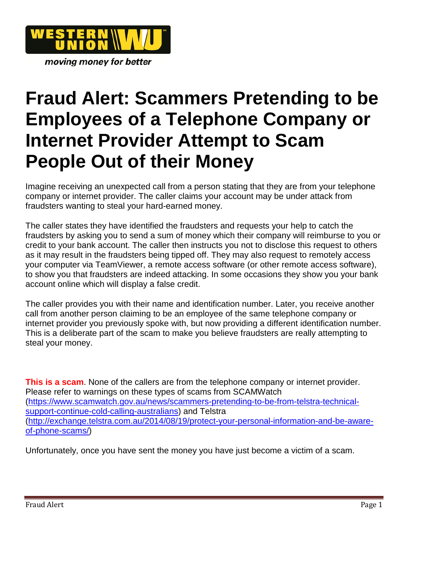

moving money for better

## **Fraud Alert: Scammers Pretending to be Employees of a Telephone Company or Internet Provider Attempt to Scam People Out of their Money**

Imagine receiving an unexpected call from a person stating that they are from your telephone company or internet provider. The caller claims your account may be under attack from fraudsters wanting to steal your hard-earned money.

The caller states they have identified the fraudsters and requests your help to catch the fraudsters by asking you to send a sum of money which their company will reimburse to you or credit to your bank account. The caller then instructs you not to disclose this request to others as it may result in the fraudsters being tipped off. They may also request to remotely access your computer via TeamViewer, a remote access software (or other remote access software), to show you that fraudsters are indeed attacking. In some occasions they show you your bank account online which will display a false credit.

The caller provides you with their name and identification number. Later, you receive another call from another person claiming to be an employee of the same telephone company or internet provider you previously spoke with, but now providing a different identification number. This is a deliberate part of the scam to make you believe fraudsters are really attempting to steal your money.

**This is a scam**. None of the callers are from the telephone company or internet provider. Please refer to warnings on these types of scams from SCAMWatch [\(https://www.scamwatch.gov.au/news/scammers-pretending-to-be-from-telstra-technical](https://www.scamwatch.gov.au/news/scammers-pretending-to-be-from-telstra-technical-support-continue-cold-calling-australians)[support-continue-cold-calling-australians\)](https://www.scamwatch.gov.au/news/scammers-pretending-to-be-from-telstra-technical-support-continue-cold-calling-australians) and Telstra [\(http://exchange.telstra.com.au/2014/08/19/protect-your-personal-information-and-be-aware](http://exchange.telstra.com.au/2014/08/19/protect-your-personal-information-and-be-aware-of-phone-scams/)[of-phone-scams/\)](http://exchange.telstra.com.au/2014/08/19/protect-your-personal-information-and-be-aware-of-phone-scams/)

Unfortunately, once you have sent the money you have just become a victim of a scam.